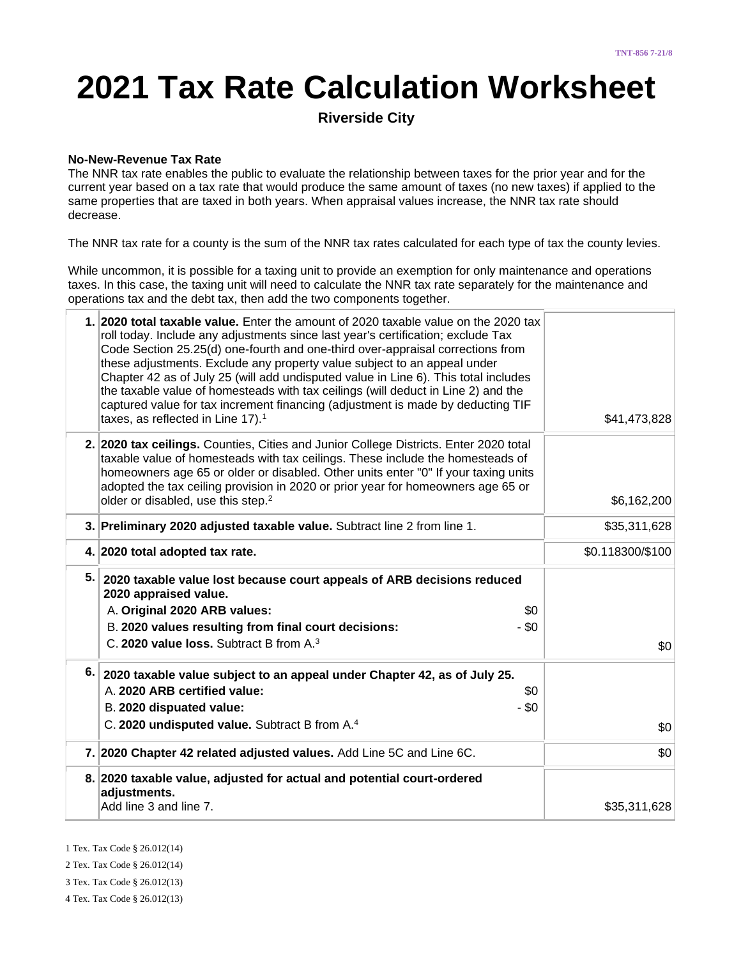# **2021 Tax Rate Calculation Worksheet**

**Riverside City**

#### **No-New-Revenue Tax Rate**

The NNR tax rate enables the public to evaluate the relationship between taxes for the prior year and for the current year based on a tax rate that would produce the same amount of taxes (no new taxes) if applied to the same properties that are taxed in both years. When appraisal values increase, the NNR tax rate should decrease.

The NNR tax rate for a county is the sum of the NNR tax rates calculated for each type of tax the county levies.

While uncommon, it is possible for a taxing unit to provide an exemption for only maintenance and operations taxes. In this case, the taxing unit will need to calculate the NNR tax rate separately for the maintenance and operations tax and the debt tax, then add the two components together.

|     | 1. 2020 total taxable value. Enter the amount of 2020 taxable value on the 2020 tax<br>roll today. Include any adjustments since last year's certification; exclude Tax<br>Code Section 25.25(d) one-fourth and one-third over-appraisal corrections from<br>these adjustments. Exclude any property value subject to an appeal under<br>Chapter 42 as of July 25 (will add undisputed value in Line 6). This total includes<br>the taxable value of homesteads with tax ceilings (will deduct in Line 2) and the<br>captured value for tax increment financing (adjustment is made by deducting TIF<br>taxes, as reflected in Line 17). <sup>1</sup> | \$41,473,828     |
|-----|-------------------------------------------------------------------------------------------------------------------------------------------------------------------------------------------------------------------------------------------------------------------------------------------------------------------------------------------------------------------------------------------------------------------------------------------------------------------------------------------------------------------------------------------------------------------------------------------------------------------------------------------------------|------------------|
|     | 2. 2020 tax ceilings. Counties, Cities and Junior College Districts. Enter 2020 total<br>taxable value of homesteads with tax ceilings. These include the homesteads of<br>homeowners age 65 or older or disabled. Other units enter "0" If your taxing units<br>adopted the tax ceiling provision in 2020 or prior year for homeowners age 65 or<br>older or disabled, use this step. <sup>2</sup>                                                                                                                                                                                                                                                   | \$6,162,200      |
|     | 3. Preliminary 2020 adjusted taxable value. Subtract line 2 from line 1.                                                                                                                                                                                                                                                                                                                                                                                                                                                                                                                                                                              | \$35,311,628     |
|     | 4. 2020 total adopted tax rate.                                                                                                                                                                                                                                                                                                                                                                                                                                                                                                                                                                                                                       | \$0.118300/\$100 |
| 5.  | 2020 taxable value lost because court appeals of ARB decisions reduced<br>2020 appraised value.                                                                                                                                                                                                                                                                                                                                                                                                                                                                                                                                                       |                  |
|     | A. Original 2020 ARB values:<br>\$0                                                                                                                                                                                                                                                                                                                                                                                                                                                                                                                                                                                                                   |                  |
|     | B. 2020 values resulting from final court decisions:<br>$-$ \$0                                                                                                                                                                                                                                                                                                                                                                                                                                                                                                                                                                                       |                  |
|     | C. 2020 value loss. Subtract B from A. <sup>3</sup>                                                                                                                                                                                                                                                                                                                                                                                                                                                                                                                                                                                                   | \$0              |
| 6.1 | 2020 taxable value subject to an appeal under Chapter 42, as of July 25.                                                                                                                                                                                                                                                                                                                                                                                                                                                                                                                                                                              |                  |
|     | A. 2020 ARB certified value:<br>\$0                                                                                                                                                                                                                                                                                                                                                                                                                                                                                                                                                                                                                   |                  |
|     | - \$0<br>B. 2020 dispuated value:                                                                                                                                                                                                                                                                                                                                                                                                                                                                                                                                                                                                                     |                  |
|     | C. 2020 undisputed value. Subtract B from A. <sup>4</sup>                                                                                                                                                                                                                                                                                                                                                                                                                                                                                                                                                                                             | \$0              |
|     | 7. 2020 Chapter 42 related adjusted values. Add Line 5C and Line 6C.                                                                                                                                                                                                                                                                                                                                                                                                                                                                                                                                                                                  | \$0              |
|     | 8. 2020 taxable value, adjusted for actual and potential court-ordered<br>adjustments.                                                                                                                                                                                                                                                                                                                                                                                                                                                                                                                                                                |                  |
|     | Add line 3 and line 7.                                                                                                                                                                                                                                                                                                                                                                                                                                                                                                                                                                                                                                | \$35,311,628     |

1 Tex. Tax Code § 26.012(14)

2 Tex. Tax Code § 26.012(14)

3 Tex. Tax Code § 26.012(13)

4 Tex. Tax Code § 26.012(13)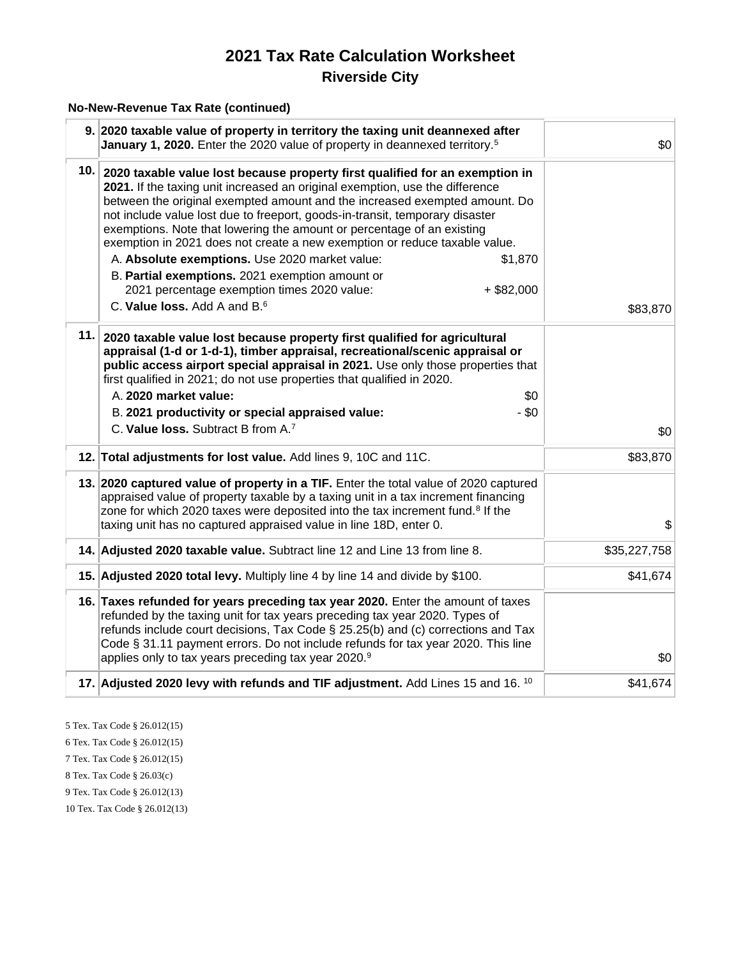#### **No-New-Revenue Tax Rate (continued)**

|     | 9. 2020 taxable value of property in territory the taxing unit deannexed after<br>January 1, 2020. Enter the 2020 value of property in deannexed territory. <sup>5</sup>                                                                                                                                                                                                                                                                                                                                                                                                                                                                                                                                          | \$0          |
|-----|-------------------------------------------------------------------------------------------------------------------------------------------------------------------------------------------------------------------------------------------------------------------------------------------------------------------------------------------------------------------------------------------------------------------------------------------------------------------------------------------------------------------------------------------------------------------------------------------------------------------------------------------------------------------------------------------------------------------|--------------|
|     | 10. 2020 taxable value lost because property first qualified for an exemption in<br>2021. If the taxing unit increased an original exemption, use the difference<br>between the original exempted amount and the increased exempted amount. Do<br>not include value lost due to freeport, goods-in-transit, temporary disaster<br>exemptions. Note that lowering the amount or percentage of an existing<br>exemption in 2021 does not create a new exemption or reduce taxable value.<br>A. Absolute exemptions. Use 2020 market value:<br>\$1,870<br>B. Partial exemptions. 2021 exemption amount or<br>2021 percentage exemption times 2020 value:<br>$+$ \$82,000<br>C. Value loss. Add A and B. <sup>6</sup> | \$83,870     |
| 11. | 2020 taxable value lost because property first qualified for agricultural<br>appraisal (1-d or 1-d-1), timber appraisal, recreational/scenic appraisal or<br>public access airport special appraisal in 2021. Use only those properties that<br>first qualified in 2021; do not use properties that qualified in 2020.<br>A. 2020 market value:<br>\$0<br>B. 2021 productivity or special appraised value:<br>$-$ \$0<br>C. Value loss. Subtract B from A.7                                                                                                                                                                                                                                                       | \$0          |
|     | 12. Total adjustments for lost value. Add lines 9, 10C and 11C.                                                                                                                                                                                                                                                                                                                                                                                                                                                                                                                                                                                                                                                   | \$83,870     |
|     | 13. 2020 captured value of property in a TIF. Enter the total value of 2020 captured<br>appraised value of property taxable by a taxing unit in a tax increment financing<br>zone for which 2020 taxes were deposited into the tax increment fund. <sup>8</sup> If the<br>taxing unit has no captured appraised value in line 18D, enter 0.                                                                                                                                                                                                                                                                                                                                                                       | \$           |
|     | 14. Adjusted 2020 taxable value. Subtract line 12 and Line 13 from line 8.                                                                                                                                                                                                                                                                                                                                                                                                                                                                                                                                                                                                                                        | \$35,227,758 |
|     | 15. Adjusted 2020 total levy. Multiply line 4 by line 14 and divide by \$100.                                                                                                                                                                                                                                                                                                                                                                                                                                                                                                                                                                                                                                     | \$41,674     |
|     | 16. Taxes refunded for years preceding tax year 2020. Enter the amount of taxes<br>refunded by the taxing unit for tax years preceding tax year 2020. Types of<br>refunds include court decisions, Tax Code § 25.25(b) and (c) corrections and Tax<br>Code § 31.11 payment errors. Do not include refunds for tax year 2020. This line<br>applies only to tax years preceding tax year 2020.9                                                                                                                                                                                                                                                                                                                     | \$0          |
|     | 17. Adjusted 2020 levy with refunds and TIF adjustment. Add Lines 15 and 16. 10                                                                                                                                                                                                                                                                                                                                                                                                                                                                                                                                                                                                                                   | \$41,674     |

5 Tex. Tax Code § 26.012(15)

6 Tex. Tax Code § 26.012(15)

7 Tex. Tax Code § 26.012(15)

8 Tex. Tax Code § 26.03(c)

9 Tex. Tax Code § 26.012(13)

10 Tex. Tax Code § 26.012(13)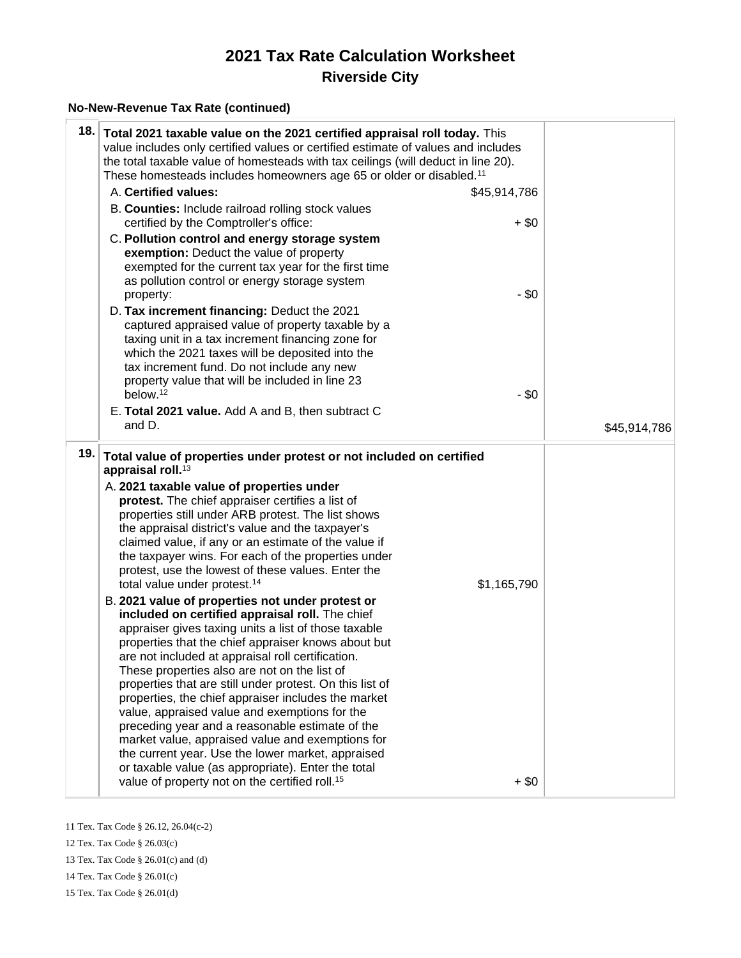#### **No-New-Revenue Tax Rate (continued)**

| 18.  | Total 2021 taxable value on the 2021 certified appraisal roll today. This<br>value includes only certified values or certified estimate of values and includes<br>the total taxable value of homesteads with tax ceilings (will deduct in line 20).<br>These homesteads includes homeowners age 65 or older or disabled. <sup>11</sup>                                                                                                                                                                                                                                                                                                                                                                                                                                                                                                                                                                                                                                                                                                                                                                                                                                                                                                                                                                            |                        |              |
|------|-------------------------------------------------------------------------------------------------------------------------------------------------------------------------------------------------------------------------------------------------------------------------------------------------------------------------------------------------------------------------------------------------------------------------------------------------------------------------------------------------------------------------------------------------------------------------------------------------------------------------------------------------------------------------------------------------------------------------------------------------------------------------------------------------------------------------------------------------------------------------------------------------------------------------------------------------------------------------------------------------------------------------------------------------------------------------------------------------------------------------------------------------------------------------------------------------------------------------------------------------------------------------------------------------------------------|------------------------|--------------|
|      | A. Certified values:                                                                                                                                                                                                                                                                                                                                                                                                                                                                                                                                                                                                                                                                                                                                                                                                                                                                                                                                                                                                                                                                                                                                                                                                                                                                                              | \$45,914,786           |              |
|      | B. Counties: Include railroad rolling stock values<br>certified by the Comptroller's office:                                                                                                                                                                                                                                                                                                                                                                                                                                                                                                                                                                                                                                                                                                                                                                                                                                                                                                                                                                                                                                                                                                                                                                                                                      | $+$ \$0                |              |
|      | C. Pollution control and energy storage system<br>exemption: Deduct the value of property<br>exempted for the current tax year for the first time<br>as pollution control or energy storage system<br>property:                                                                                                                                                                                                                                                                                                                                                                                                                                                                                                                                                                                                                                                                                                                                                                                                                                                                                                                                                                                                                                                                                                   | $-$ \$0                |              |
|      | D. Tax increment financing: Deduct the 2021<br>captured appraised value of property taxable by a<br>taxing unit in a tax increment financing zone for<br>which the 2021 taxes will be deposited into the<br>tax increment fund. Do not include any new<br>property value that will be included in line 23                                                                                                                                                                                                                                                                                                                                                                                                                                                                                                                                                                                                                                                                                                                                                                                                                                                                                                                                                                                                         |                        |              |
|      | below. <sup>12</sup>                                                                                                                                                                                                                                                                                                                                                                                                                                                                                                                                                                                                                                                                                                                                                                                                                                                                                                                                                                                                                                                                                                                                                                                                                                                                                              | $-$ \$0                |              |
|      | E. Total 2021 value. Add A and B, then subtract C<br>and D.                                                                                                                                                                                                                                                                                                                                                                                                                                                                                                                                                                                                                                                                                                                                                                                                                                                                                                                                                                                                                                                                                                                                                                                                                                                       |                        | \$45,914,786 |
| 19.∣ | Total value of properties under protest or not included on certified<br>appraisal roll. <sup>13</sup><br>A. 2021 taxable value of properties under<br>protest. The chief appraiser certifies a list of<br>properties still under ARB protest. The list shows<br>the appraisal district's value and the taxpayer's<br>claimed value, if any or an estimate of the value if<br>the taxpayer wins. For each of the properties under<br>protest, use the lowest of these values. Enter the<br>total value under protest. <sup>14</sup><br>B. 2021 value of properties not under protest or<br>included on certified appraisal roll. The chief<br>appraiser gives taxing units a list of those taxable<br>properties that the chief appraiser knows about but<br>are not included at appraisal roll certification.<br>These properties also are not on the list of<br>properties that are still under protest. On this list of<br>properties, the chief appraiser includes the market<br>value, appraised value and exemptions for the<br>preceding year and a reasonable estimate of the<br>market value, appraised value and exemptions for<br>the current year. Use the lower market, appraised<br>or taxable value (as appropriate). Enter the total<br>value of property not on the certified roll. <sup>15</sup> | \$1,165,790<br>$+$ \$0 |              |

11 Tex. Tax Code § 26.12, 26.04(c-2)

12 Tex. Tax Code § 26.03(c)

13 Tex. Tax Code § 26.01(c) and (d)

14 Tex. Tax Code § 26.01(c)

15 Tex. Tax Code § 26.01(d)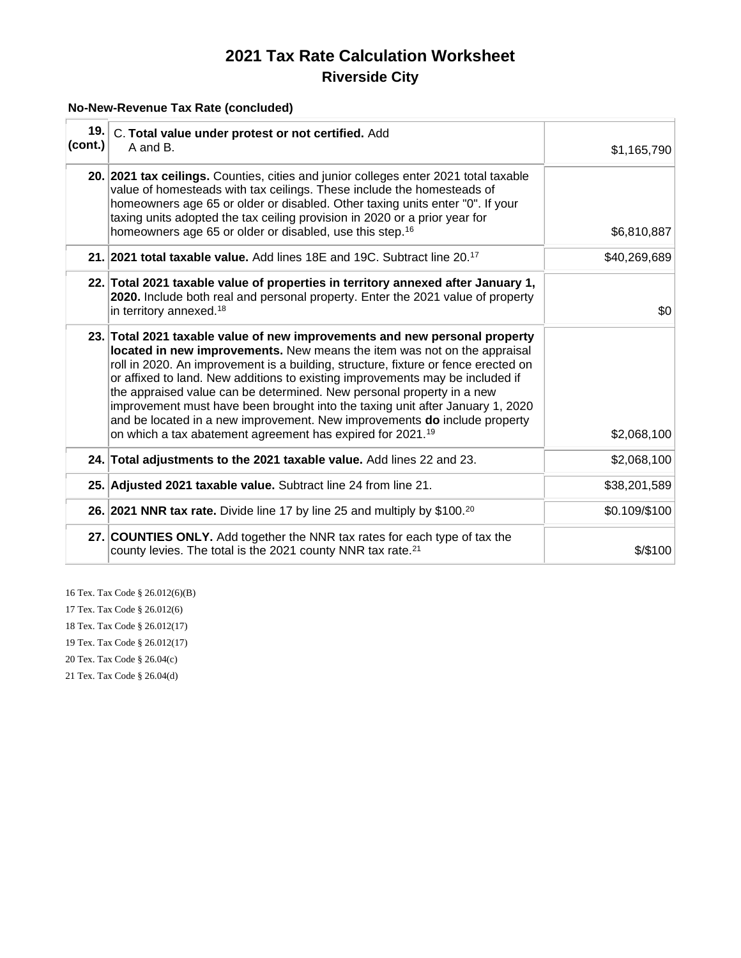#### **No-New-Revenue Tax Rate (concluded)**

| 19.<br>(cont.) | C. Total value under protest or not certified. Add<br>A and B.                                                                                                                                                                                                                                                                                                                                                                                                                                                                                                                                                                                 | \$1,165,790   |
|----------------|------------------------------------------------------------------------------------------------------------------------------------------------------------------------------------------------------------------------------------------------------------------------------------------------------------------------------------------------------------------------------------------------------------------------------------------------------------------------------------------------------------------------------------------------------------------------------------------------------------------------------------------------|---------------|
|                | 20. 2021 tax ceilings. Counties, cities and junior colleges enter 2021 total taxable<br>value of homesteads with tax ceilings. These include the homesteads of<br>homeowners age 65 or older or disabled. Other taxing units enter "0". If your<br>taxing units adopted the tax ceiling provision in 2020 or a prior year for<br>homeowners age 65 or older or disabled, use this step. <sup>16</sup>                                                                                                                                                                                                                                          | \$6,810,887   |
|                | 21. 2021 total taxable value. Add lines 18E and 19C. Subtract line 20. <sup>17</sup>                                                                                                                                                                                                                                                                                                                                                                                                                                                                                                                                                           | \$40,269,689  |
|                | 22. Total 2021 taxable value of properties in territory annexed after January 1,<br>2020. Include both real and personal property. Enter the 2021 value of property<br>in territory annexed. <sup>18</sup>                                                                                                                                                                                                                                                                                                                                                                                                                                     | \$0           |
|                | 23. Total 2021 taxable value of new improvements and new personal property<br>located in new improvements. New means the item was not on the appraisal<br>roll in 2020. An improvement is a building, structure, fixture or fence erected on<br>or affixed to land. New additions to existing improvements may be included if<br>the appraised value can be determined. New personal property in a new<br>improvement must have been brought into the taxing unit after January 1, 2020<br>and be located in a new improvement. New improvements do include property<br>on which a tax abatement agreement has expired for 2021. <sup>19</sup> | \$2,068,100   |
|                | 24. Total adjustments to the 2021 taxable value. Add lines 22 and 23.                                                                                                                                                                                                                                                                                                                                                                                                                                                                                                                                                                          | \$2,068,100   |
|                | 25. Adjusted 2021 taxable value. Subtract line 24 from line 21.                                                                                                                                                                                                                                                                                                                                                                                                                                                                                                                                                                                | \$38,201,589  |
|                | 26. 2021 NNR tax rate. Divide line 17 by line 25 and multiply by \$100. <sup>20</sup>                                                                                                                                                                                                                                                                                                                                                                                                                                                                                                                                                          | \$0.109/\$100 |
|                | 27. COUNTIES ONLY. Add together the NNR tax rates for each type of tax the<br>county levies. The total is the 2021 county NNR tax rate. <sup>21</sup>                                                                                                                                                                                                                                                                                                                                                                                                                                                                                          | $$$ /\$100    |

16 Tex. Tax Code § 26.012(6)(B) 17 Tex. Tax Code § 26.012(6)

18 Tex. Tax Code § 26.012(17)

19 Tex. Tax Code § 26.012(17)

20 Tex. Tax Code § 26.04(c)

21 Tex. Tax Code § 26.04(d)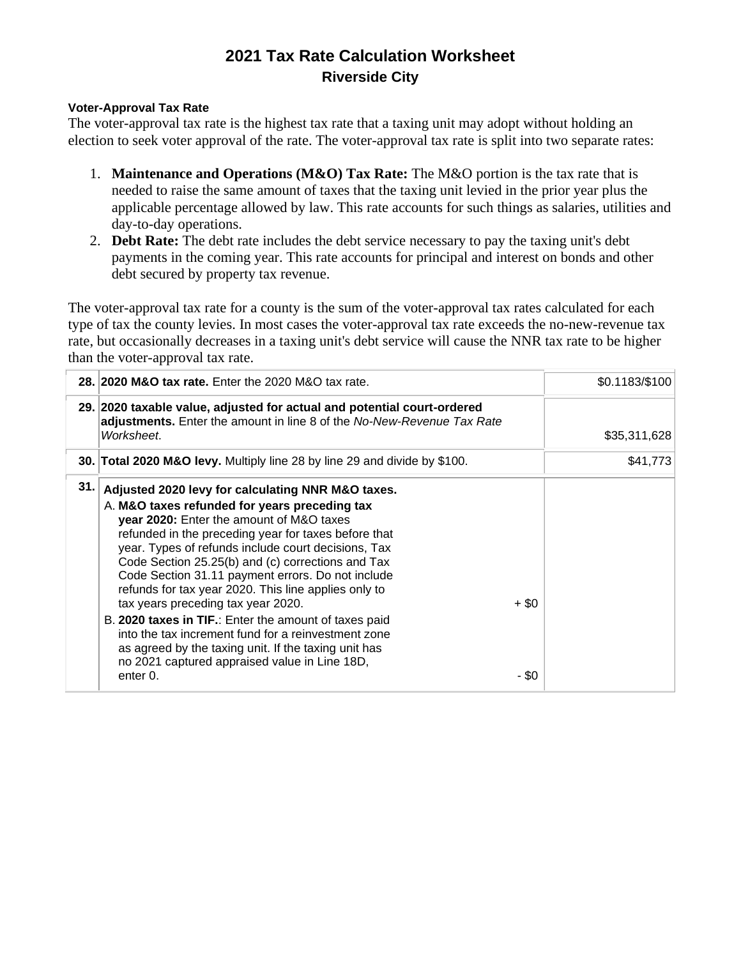#### **Voter-Approval Tax Rate**

The voter-approval tax rate is the highest tax rate that a taxing unit may adopt without holding an election to seek voter approval of the rate. The voter-approval tax rate is split into two separate rates:

- 1. **Maintenance and Operations (M&O) Tax Rate:** The M&O portion is the tax rate that is needed to raise the same amount of taxes that the taxing unit levied in the prior year plus the applicable percentage allowed by law. This rate accounts for such things as salaries, utilities and day-to-day operations.
- 2. **Debt Rate:** The debt rate includes the debt service necessary to pay the taxing unit's debt payments in the coming year. This rate accounts for principal and interest on bonds and other debt secured by property tax revenue.

The voter-approval tax rate for a county is the sum of the voter-approval tax rates calculated for each type of tax the county levies. In most cases the voter-approval tax rate exceeds the no-new-revenue tax rate, but occasionally decreases in a taxing unit's debt service will cause the NNR tax rate to be higher than the voter-approval tax rate.

|     | 28. 2020 M&O tax rate. Enter the 2020 M&O tax rate.                                                                                                                                                                                                                                                                                                                                                                                                                                                                                                                                                                                                                                                                   | \$0.1183/\$100 |
|-----|-----------------------------------------------------------------------------------------------------------------------------------------------------------------------------------------------------------------------------------------------------------------------------------------------------------------------------------------------------------------------------------------------------------------------------------------------------------------------------------------------------------------------------------------------------------------------------------------------------------------------------------------------------------------------------------------------------------------------|----------------|
|     | 29. 2020 taxable value, adjusted for actual and potential court-ordered<br>adjustments. Enter the amount in line 8 of the No-New-Revenue Tax Rate<br>Worksheet.                                                                                                                                                                                                                                                                                                                                                                                                                                                                                                                                                       | \$35,311,628   |
|     | 30. Total 2020 M&O levy. Multiply line 28 by line 29 and divide by \$100.                                                                                                                                                                                                                                                                                                                                                                                                                                                                                                                                                                                                                                             | \$41,773       |
| 31. | Adjusted 2020 levy for calculating NNR M&O taxes.<br>A. M&O taxes refunded for years preceding tax<br>year 2020: Enter the amount of M&O taxes<br>refunded in the preceding year for taxes before that<br>year. Types of refunds include court decisions, Tax<br>Code Section 25.25(b) and (c) corrections and Tax<br>Code Section 31.11 payment errors. Do not include<br>refunds for tax year 2020. This line applies only to<br>$+$ \$0<br>tax years preceding tax year 2020.<br>B. 2020 taxes in TIF.: Enter the amount of taxes paid<br>into the tax increment fund for a reinvestment zone<br>as agreed by the taxing unit. If the taxing unit has<br>no 2021 captured appraised value in Line 18D,<br>enter 0. | $-$ \$0        |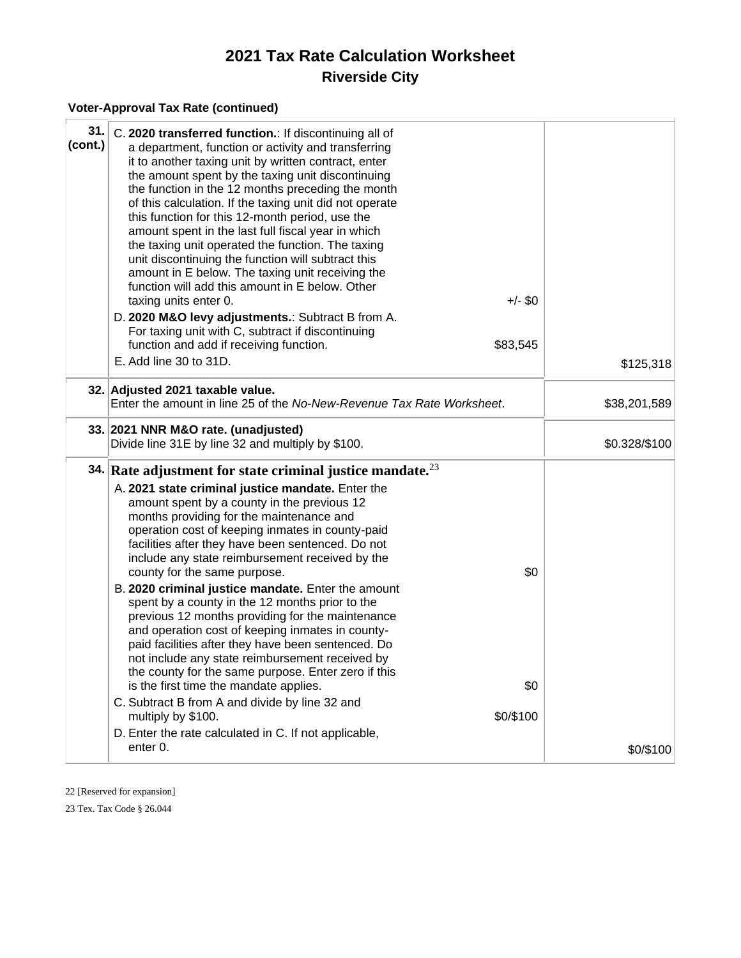#### **Voter-Approval Tax Rate (continued)**

| 31.<br>(cont.) | C. 2020 transferred function.: If discontinuing all of<br>a department, function or activity and transferring<br>it to another taxing unit by written contract, enter<br>the amount spent by the taxing unit discontinuing<br>the function in the 12 months preceding the month<br>of this calculation. If the taxing unit did not operate<br>this function for this 12-month period, use the<br>amount spent in the last full fiscal year in which<br>the taxing unit operated the function. The taxing<br>unit discontinuing the function will subtract this<br>amount in E below. The taxing unit receiving the<br>function will add this amount in E below. Other<br>taxing units enter 0.<br>D. 2020 M&O levy adjustments.: Subtract B from A.<br>For taxing unit with C, subtract if discontinuing<br>function and add if receiving function.<br>E. Add line 30 to 31D.                                  | $+/-$ \$0<br>\$83,545   | \$125,318     |
|----------------|----------------------------------------------------------------------------------------------------------------------------------------------------------------------------------------------------------------------------------------------------------------------------------------------------------------------------------------------------------------------------------------------------------------------------------------------------------------------------------------------------------------------------------------------------------------------------------------------------------------------------------------------------------------------------------------------------------------------------------------------------------------------------------------------------------------------------------------------------------------------------------------------------------------|-------------------------|---------------|
|                | 32. Adjusted 2021 taxable value.<br>Enter the amount in line 25 of the No-New-Revenue Tax Rate Worksheet.                                                                                                                                                                                                                                                                                                                                                                                                                                                                                                                                                                                                                                                                                                                                                                                                      |                         | \$38,201,589  |
|                | 33. 2021 NNR M&O rate. (unadjusted)<br>Divide line 31E by line 32 and multiply by \$100.                                                                                                                                                                                                                                                                                                                                                                                                                                                                                                                                                                                                                                                                                                                                                                                                                       |                         | \$0.328/\$100 |
|                | 34. Rate adjustment for state criminal justice mandate. $^{23}$<br>A. 2021 state criminal justice mandate. Enter the<br>amount spent by a county in the previous 12<br>months providing for the maintenance and<br>operation cost of keeping inmates in county-paid<br>facilities after they have been sentenced. Do not<br>include any state reimbursement received by the<br>county for the same purpose.<br>B. 2020 criminal justice mandate. Enter the amount<br>spent by a county in the 12 months prior to the<br>previous 12 months providing for the maintenance<br>and operation cost of keeping inmates in county-<br>paid facilities after they have been sentenced. Do<br>not include any state reimbursement received by<br>the county for the same purpose. Enter zero if this<br>is the first time the mandate applies.<br>C. Subtract B from A and divide by line 32 and<br>multiply by \$100. | \$0<br>\$0<br>\$0/\$100 |               |
|                | D. Enter the rate calculated in C. If not applicable,<br>enter 0.                                                                                                                                                                                                                                                                                                                                                                                                                                                                                                                                                                                                                                                                                                                                                                                                                                              |                         | \$0/\$100     |

22 [Reserved for expansion]

23 Tex. Tax Code § 26.044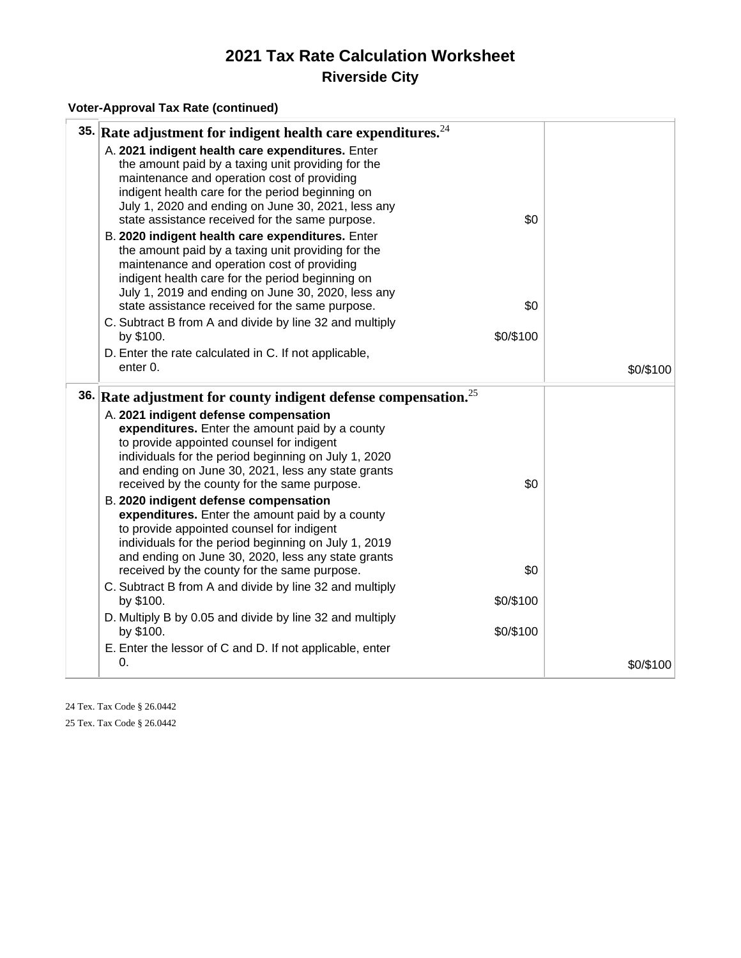#### **Voter-Approval Tax Rate (continued)**

|     | 35. Rate adjustment for indigent health care expenditures. $^{24}$                                                                                                                                                                                                                                                 |           |           |
|-----|--------------------------------------------------------------------------------------------------------------------------------------------------------------------------------------------------------------------------------------------------------------------------------------------------------------------|-----------|-----------|
|     | A. 2021 indigent health care expenditures. Enter<br>the amount paid by a taxing unit providing for the<br>maintenance and operation cost of providing<br>indigent health care for the period beginning on<br>July 1, 2020 and ending on June 30, 2021, less any<br>state assistance received for the same purpose. | \$0       |           |
|     | B. 2020 indigent health care expenditures. Enter<br>the amount paid by a taxing unit providing for the<br>maintenance and operation cost of providing<br>indigent health care for the period beginning on<br>July 1, 2019 and ending on June 30, 2020, less any<br>state assistance received for the same purpose. | \$0       |           |
|     | C. Subtract B from A and divide by line 32 and multiply                                                                                                                                                                                                                                                            |           |           |
|     | by \$100.                                                                                                                                                                                                                                                                                                          | \$0/\$100 |           |
|     | D. Enter the rate calculated in C. If not applicable,                                                                                                                                                                                                                                                              |           |           |
|     | enter 0.                                                                                                                                                                                                                                                                                                           |           | \$0/\$100 |
| 36. | Rate adjustment for county indigent defense compensation. <sup>25</sup>                                                                                                                                                                                                                                            |           |           |
|     | A. 2021 indigent defense compensation<br>expenditures. Enter the amount paid by a county<br>to provide appointed counsel for indigent<br>individuals for the period beginning on July 1, 2020<br>and ending on June 30, 2021, less any state grants                                                                | \$0       |           |
|     | received by the county for the same purpose.<br>B. 2020 indigent defense compensation<br>expenditures. Enter the amount paid by a county<br>to provide appointed counsel for indigent<br>individuals for the period beginning on July 1, 2019<br>and ending on June 30, 2020, less any state grants                |           |           |
|     | received by the county for the same purpose.                                                                                                                                                                                                                                                                       | \$0       |           |
|     | C. Subtract B from A and divide by line 32 and multiply<br>by \$100.                                                                                                                                                                                                                                               | \$0/\$100 |           |
|     | D. Multiply B by 0.05 and divide by line 32 and multiply<br>by \$100.                                                                                                                                                                                                                                              | \$0/\$100 |           |
|     | E. Enter the lessor of C and D. If not applicable, enter                                                                                                                                                                                                                                                           |           |           |
|     | 0.                                                                                                                                                                                                                                                                                                                 |           | \$0/\$100 |

24 Tex. Tax Code § 26.0442 25 Tex. Tax Code § 26.0442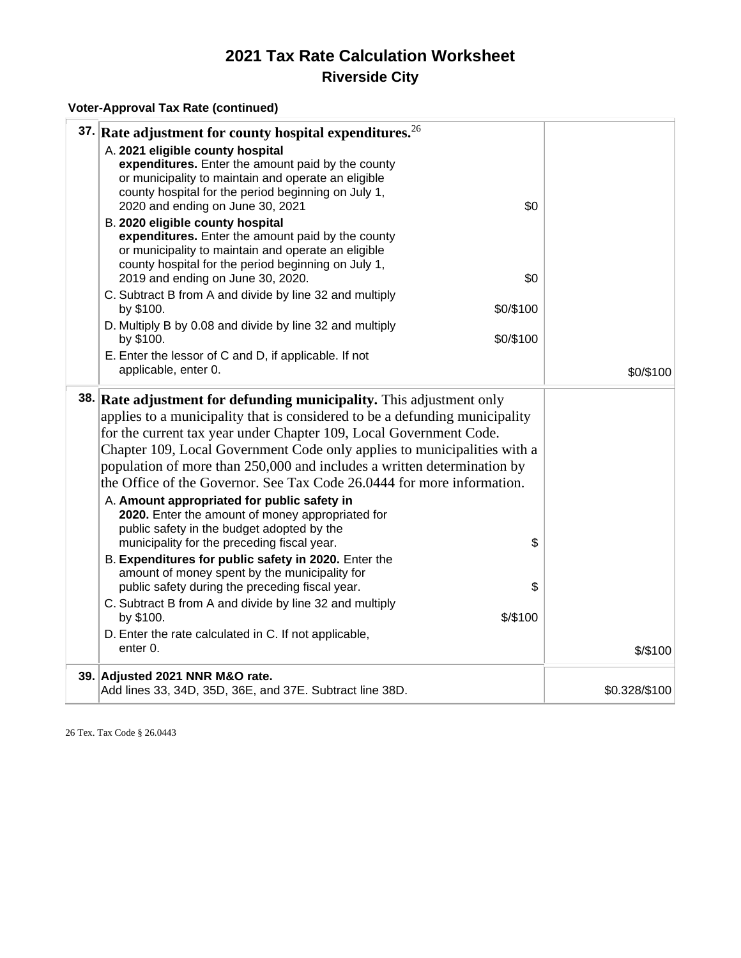#### **Voter-Approval Tax Rate (continued)**

| 37. Rate adjustment for county hospital expenditures. <sup>26</sup>         |           |               |
|-----------------------------------------------------------------------------|-----------|---------------|
| A. 2021 eligible county hospital                                            |           |               |
| expenditures. Enter the amount paid by the county                           |           |               |
| or municipality to maintain and operate an eligible                         |           |               |
| county hospital for the period beginning on July 1,                         |           |               |
| 2020 and ending on June 30, 2021                                            | \$0       |               |
| B. 2020 eligible county hospital                                            |           |               |
| expenditures. Enter the amount paid by the county                           |           |               |
| or municipality to maintain and operate an eligible                         |           |               |
| county hospital for the period beginning on July 1,                         |           |               |
| 2019 and ending on June 30, 2020.                                           | \$0       |               |
| C. Subtract B from A and divide by line 32 and multiply                     |           |               |
| by \$100.                                                                   | \$0/\$100 |               |
| D. Multiply B by 0.08 and divide by line 32 and multiply                    |           |               |
| by \$100.                                                                   | \$0/\$100 |               |
| E. Enter the lessor of C and D, if applicable. If not                       |           |               |
| applicable, enter 0.                                                        |           | \$0/\$100     |
|                                                                             |           |               |
| 38. Rate adjustment for defunding municipality. This adjustment only        |           |               |
| applies to a municipality that is considered to be a defunding municipality |           |               |
| for the current tax year under Chapter 109, Local Government Code.          |           |               |
| Chapter 109, Local Government Code only applies to municipalities with a    |           |               |
|                                                                             |           |               |
| population of more than 250,000 and includes a written determination by     |           |               |
| the Office of the Governor. See Tax Code 26.0444 for more information.      |           |               |
| A. Amount appropriated for public safety in                                 |           |               |
| 2020. Enter the amount of money appropriated for                            |           |               |
| public safety in the budget adopted by the                                  |           |               |
| municipality for the preceding fiscal year.                                 | \$        |               |
| B. Expenditures for public safety in 2020. Enter the                        |           |               |
| amount of money spent by the municipality for                               |           |               |
| public safety during the preceding fiscal year.                             | \$        |               |
| C. Subtract B from A and divide by line 32 and multiply                     |           |               |
| by \$100.                                                                   | \$/\$100  |               |
| D. Enter the rate calculated in C. If not applicable,                       |           |               |
| enter 0.                                                                    |           | \$/\$100      |
|                                                                             |           |               |
| 39. Adjusted 2021 NNR M&O rate.                                             |           |               |
| Add lines 33, 34D, 35D, 36E, and 37E. Subtract line 38D.                    |           | \$0.328/\$100 |

26 Tex. Tax Code § 26.0443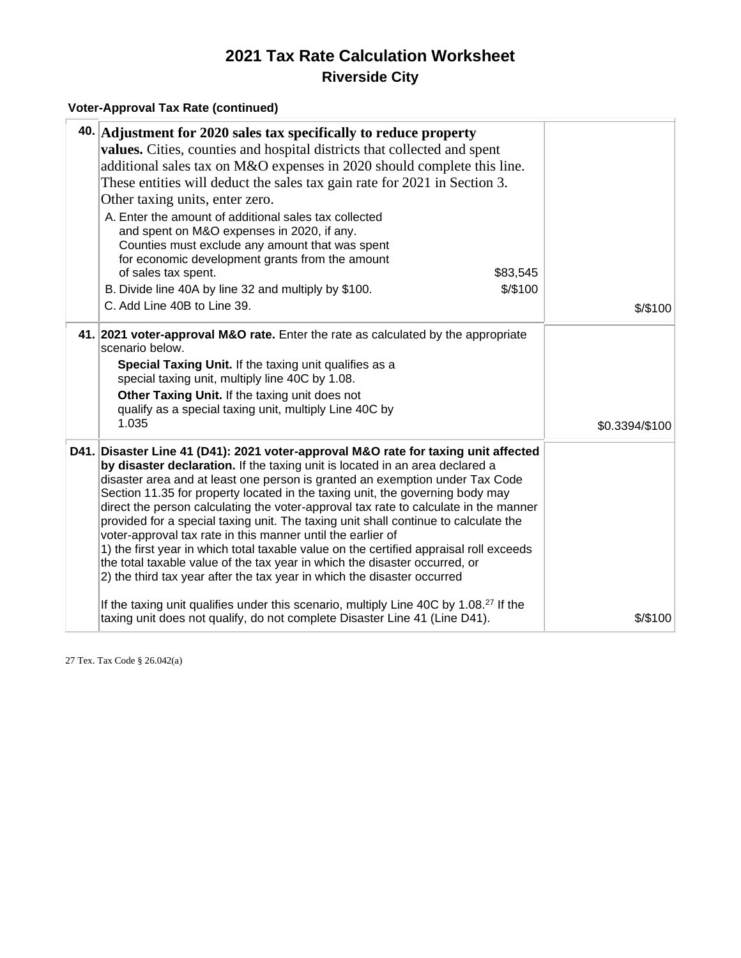#### **Voter-Approval Tax Rate (continued)**

|      | 40. Adjustment for 2020 sales tax specifically to reduce property<br>values. Cities, counties and hospital districts that collected and spent<br>additional sales tax on M&O expenses in 2020 should complete this line.<br>These entities will deduct the sales tax gain rate for 2021 in Section 3.<br>Other taxing units, enter zero.<br>A. Enter the amount of additional sales tax collected<br>and spent on M&O expenses in 2020, if any.<br>Counties must exclude any amount that was spent<br>for economic development grants from the amount<br>of sales tax spent.<br>\$83,545<br>\$/\$100<br>B. Divide line 40A by line 32 and multiply by \$100.<br>C. Add Line 40B to Line 39.                                                                                                                                                                                                                                          | \$/\$100       |
|------|--------------------------------------------------------------------------------------------------------------------------------------------------------------------------------------------------------------------------------------------------------------------------------------------------------------------------------------------------------------------------------------------------------------------------------------------------------------------------------------------------------------------------------------------------------------------------------------------------------------------------------------------------------------------------------------------------------------------------------------------------------------------------------------------------------------------------------------------------------------------------------------------------------------------------------------|----------------|
|      | 41. 2021 voter-approval M&O rate. Enter the rate as calculated by the appropriate<br>scenario below.<br>Special Taxing Unit. If the taxing unit qualifies as a<br>special taxing unit, multiply line 40C by 1.08.<br>Other Taxing Unit. If the taxing unit does not<br>qualify as a special taxing unit, multiply Line 40C by<br>1.035                                                                                                                                                                                                                                                                                                                                                                                                                                                                                                                                                                                               | \$0.3394/\$100 |
| D41. | Disaster Line 41 (D41): 2021 voter-approval M&O rate for taxing unit affected<br>by disaster declaration. If the taxing unit is located in an area declared a<br>disaster area and at least one person is granted an exemption under Tax Code<br>Section 11.35 for property located in the taxing unit, the governing body may<br>direct the person calculating the voter-approval tax rate to calculate in the manner<br>provided for a special taxing unit. The taxing unit shall continue to calculate the<br>voter-approval tax rate in this manner until the earlier of<br>1) the first year in which total taxable value on the certified appraisal roll exceeds<br>the total taxable value of the tax year in which the disaster occurred, or<br>2) the third tax year after the tax year in which the disaster occurred<br>If the taxing unit qualifies under this scenario, multiply Line 40C by 1.08. <sup>27</sup> If the |                |
|      | taxing unit does not qualify, do not complete Disaster Line 41 (Line D41).                                                                                                                                                                                                                                                                                                                                                                                                                                                                                                                                                                                                                                                                                                                                                                                                                                                           | $$$ /\$100     |

27 Tex. Tax Code § 26.042(a)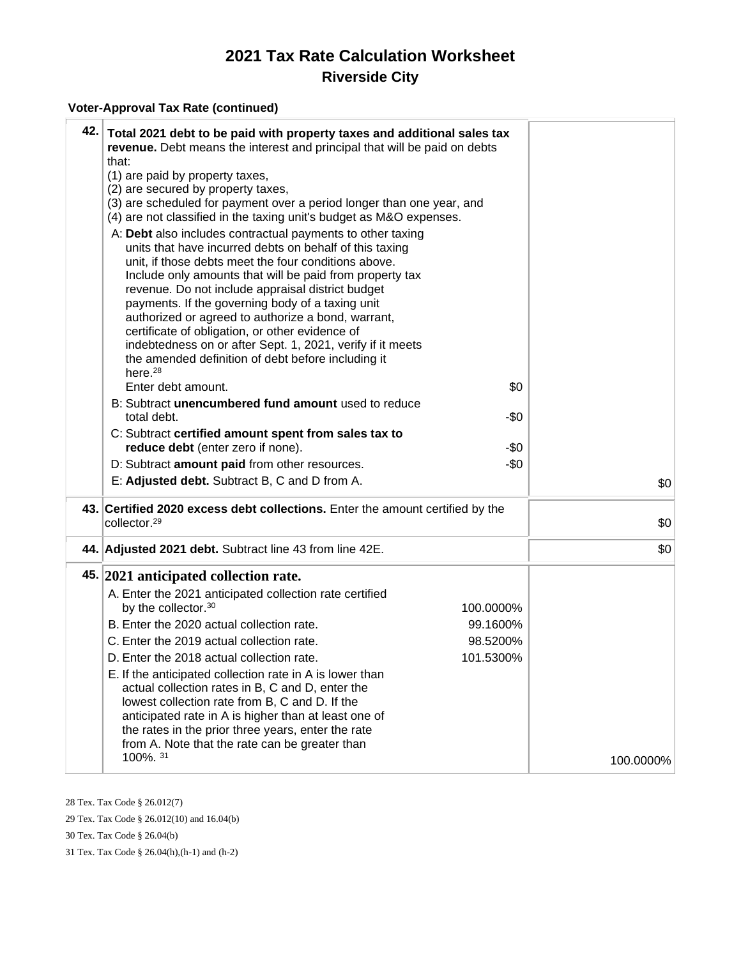#### **Voter-Approval Tax Rate (continued)**

| 42. Total 2021 debt to be paid with property taxes and additional sales tax<br>revenue. Debt means the interest and principal that will be paid on debts<br>that:<br>(1) are paid by property taxes,<br>(2) are secured by property taxes,<br>(3) are scheduled for payment over a period longer than one year, and<br>(4) are not classified in the taxing unit's budget as M&O expenses.<br>A: Debt also includes contractual payments to other taxing<br>units that have incurred debts on behalf of this taxing<br>unit, if those debts meet the four conditions above.<br>Include only amounts that will be paid from property tax<br>revenue. Do not include appraisal district budget<br>payments. If the governing body of a taxing unit<br>authorized or agreed to authorize a bond, warrant,<br>certificate of obligation, or other evidence of<br>indebtedness on or after Sept. 1, 2021, verify if it meets<br>the amended definition of debt before including it<br>here. <sup>28</sup><br>Enter debt amount.<br>B: Subtract unencumbered fund amount used to reduce<br>total debt.<br>C: Subtract certified amount spent from sales tax to<br>reduce debt (enter zero if none).<br>D: Subtract amount paid from other resources. | \$0<br>-\$0<br>-\$0<br>$-\$0$ |
|------------------------------------------------------------------------------------------------------------------------------------------------------------------------------------------------------------------------------------------------------------------------------------------------------------------------------------------------------------------------------------------------------------------------------------------------------------------------------------------------------------------------------------------------------------------------------------------------------------------------------------------------------------------------------------------------------------------------------------------------------------------------------------------------------------------------------------------------------------------------------------------------------------------------------------------------------------------------------------------------------------------------------------------------------------------------------------------------------------------------------------------------------------------------------------------------------------------------------------------------|-------------------------------|
| E: Adjusted debt. Subtract B, C and D from A.<br>43. Certified 2020 excess debt collections. Enter the amount certified by the                                                                                                                                                                                                                                                                                                                                                                                                                                                                                                                                                                                                                                                                                                                                                                                                                                                                                                                                                                                                                                                                                                                 | \$0                           |
| collector. <sup>29</sup>                                                                                                                                                                                                                                                                                                                                                                                                                                                                                                                                                                                                                                                                                                                                                                                                                                                                                                                                                                                                                                                                                                                                                                                                                       | \$0                           |
| 44. Adjusted 2021 debt. Subtract line 43 from line 42E.                                                                                                                                                                                                                                                                                                                                                                                                                                                                                                                                                                                                                                                                                                                                                                                                                                                                                                                                                                                                                                                                                                                                                                                        | \$0                           |
| 45. 2021 anticipated collection rate.<br>A. Enter the 2021 anticipated collection rate certified<br>by the collector. <sup>30</sup><br>100.0000%<br>B. Enter the 2020 actual collection rate.<br>99.1600%<br>C. Enter the 2019 actual collection rate.<br>98.5200%<br>101.5300%<br>D. Enter the 2018 actual collection rate.<br>E. If the anticipated collection rate in A is lower than<br>actual collection rates in B, C and D, enter the<br>lowest collection rate from B, C and D. If the<br>anticipated rate in A is higher than at least one of<br>the rates in the prior three years, enter the rate<br>from A. Note that the rate can be greater than<br>100%. 31                                                                                                                                                                                                                                                                                                                                                                                                                                                                                                                                                                     | 100.0000%                     |
|                                                                                                                                                                                                                                                                                                                                                                                                                                                                                                                                                                                                                                                                                                                                                                                                                                                                                                                                                                                                                                                                                                                                                                                                                                                |                               |

28 Tex. Tax Code § 26.012(7)

29 Tex. Tax Code § 26.012(10) and 16.04(b)

30 Tex. Tax Code § 26.04(b)

31 Tex. Tax Code § 26.04(h),(h-1) and (h-2)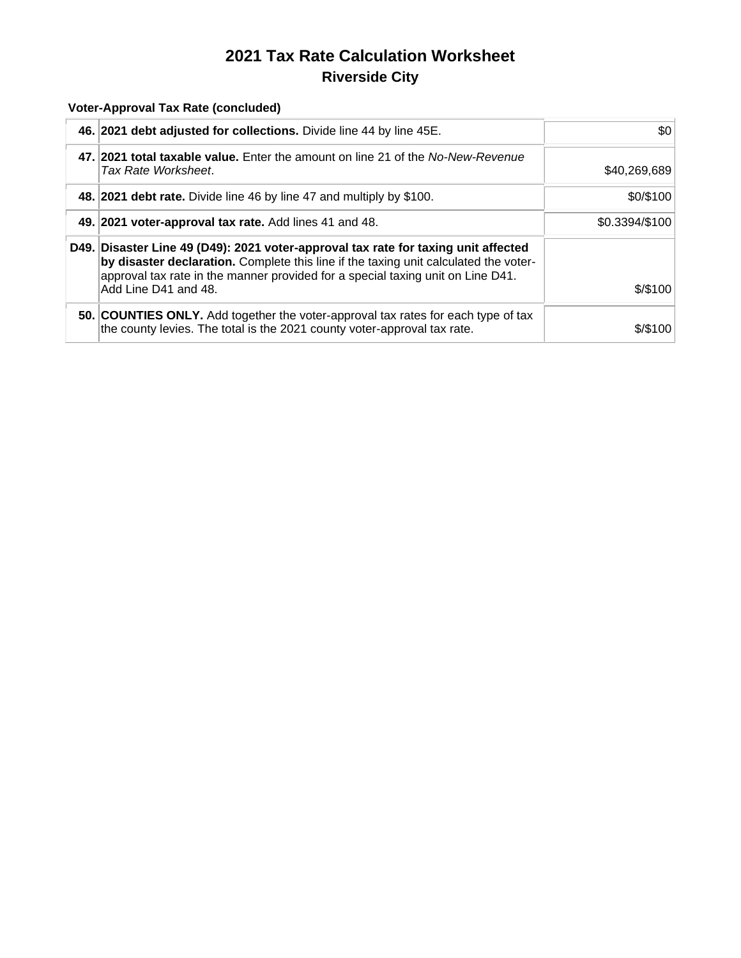#### **Voter-Approval Tax Rate (concluded)**

| 46. 2021 debt adjusted for collections. Divide line 44 by line 45E.                                                                                                                                                                                                                   | \$0            |  |  |
|---------------------------------------------------------------------------------------------------------------------------------------------------------------------------------------------------------------------------------------------------------------------------------------|----------------|--|--|
| 47. 2021 total taxable value. Enter the amount on line 21 of the No-New-Revenue<br>Tax Rate Worksheet.                                                                                                                                                                                | \$40,269,689   |  |  |
| 48. 2021 debt rate. Divide line 46 by line 47 and multiply by \$100.                                                                                                                                                                                                                  | \$0/\$100      |  |  |
| 49. 2021 voter-approval tax rate. Add lines 41 and 48.                                                                                                                                                                                                                                | \$0.3394/\$100 |  |  |
| D49. Disaster Line 49 (D49): 2021 voter-approval tax rate for taxing unit affected<br>by disaster declaration. Complete this line if the taxing unit calculated the voter-<br>approval tax rate in the manner provided for a special taxing unit on Line D41.<br>Add Line D41 and 48. | \$/\$100       |  |  |
| 50. COUNTIES ONLY. Add together the voter-approval tax rates for each type of tax<br>the county levies. The total is the 2021 county voter-approval tax rate.                                                                                                                         | \$/\$100       |  |  |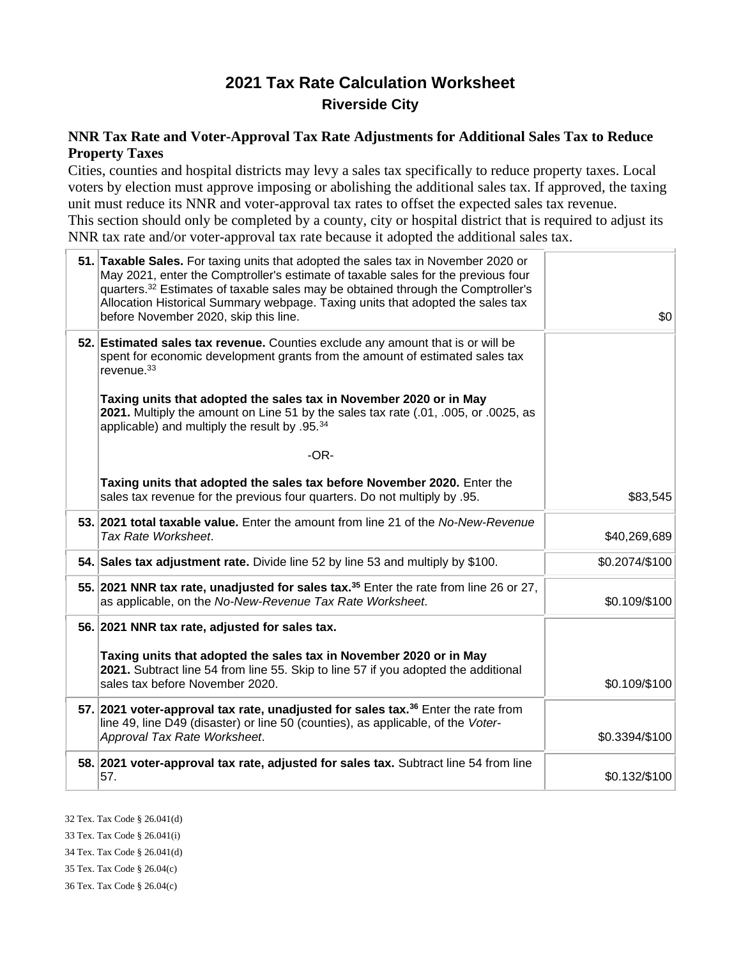#### **NNR Tax Rate and Voter-Approval Tax Rate Adjustments for Additional Sales Tax to Reduce Property Taxes**

Cities, counties and hospital districts may levy a sales tax specifically to reduce property taxes. Local voters by election must approve imposing or abolishing the additional sales tax. If approved, the taxing unit must reduce its NNR and voter-approval tax rates to offset the expected sales tax revenue. This section should only be completed by a county, city or hospital district that is required to adjust its NNR tax rate and/or voter-approval tax rate because it adopted the additional sales tax.

| 51. Taxable Sales. For taxing units that adopted the sales tax in November 2020 or<br>May 2021, enter the Comptroller's estimate of taxable sales for the previous four<br>quarters. <sup>32</sup> Estimates of taxable sales may be obtained through the Comptroller's<br>Allocation Historical Summary webpage. Taxing units that adopted the sales tax<br>before November 2020, skip this line. | \$0            |
|----------------------------------------------------------------------------------------------------------------------------------------------------------------------------------------------------------------------------------------------------------------------------------------------------------------------------------------------------------------------------------------------------|----------------|
| 52. Estimated sales tax revenue. Counties exclude any amount that is or will be<br>spent for economic development grants from the amount of estimated sales tax<br>revenue. <sup>33</sup>                                                                                                                                                                                                          |                |
| Taxing units that adopted the sales tax in November 2020 or in May<br>2021. Multiply the amount on Line 51 by the sales tax rate (.01, .005, or .0025, as<br>applicable) and multiply the result by .95.34                                                                                                                                                                                         |                |
| $-OR-$                                                                                                                                                                                                                                                                                                                                                                                             |                |
| Taxing units that adopted the sales tax before November 2020. Enter the<br>sales tax revenue for the previous four quarters. Do not multiply by .95.                                                                                                                                                                                                                                               | \$83,545       |
| 53. 2021 total taxable value. Enter the amount from line 21 of the No-New-Revenue<br>Tax Rate Worksheet.                                                                                                                                                                                                                                                                                           | \$40,269,689   |
| 54. Sales tax adjustment rate. Divide line 52 by line 53 and multiply by \$100.                                                                                                                                                                                                                                                                                                                    | \$0.2074/\$100 |
| 55. 2021 NNR tax rate, unadjusted for sales tax. <sup>35</sup> Enter the rate from line 26 or 27,<br>as applicable, on the No-New-Revenue Tax Rate Worksheet.                                                                                                                                                                                                                                      | \$0.109/\$100  |
| 56. 2021 NNR tax rate, adjusted for sales tax.                                                                                                                                                                                                                                                                                                                                                     |                |
| Taxing units that adopted the sales tax in November 2020 or in May<br>2021. Subtract line 54 from line 55. Skip to line 57 if you adopted the additional<br>sales tax before November 2020.                                                                                                                                                                                                        | \$0.109/\$100  |
| 57. 2021 voter-approval tax rate, unadjusted for sales tax. <sup>36</sup> Enter the rate from<br>line 49, line D49 (disaster) or line 50 (counties), as applicable, of the Voter-<br>Approval Tax Rate Worksheet.                                                                                                                                                                                  | \$0.3394/\$100 |
| 58. 2021 voter-approval tax rate, adjusted for sales tax. Subtract line 54 from line<br>57.                                                                                                                                                                                                                                                                                                        | \$0.132/\$100  |

32 Tex. Tax Code § 26.041(d)

33 Tex. Tax Code § 26.041(i)

34 Tex. Tax Code § 26.041(d)

35 Tex. Tax Code § 26.04(c)

36 Tex. Tax Code § 26.04(c)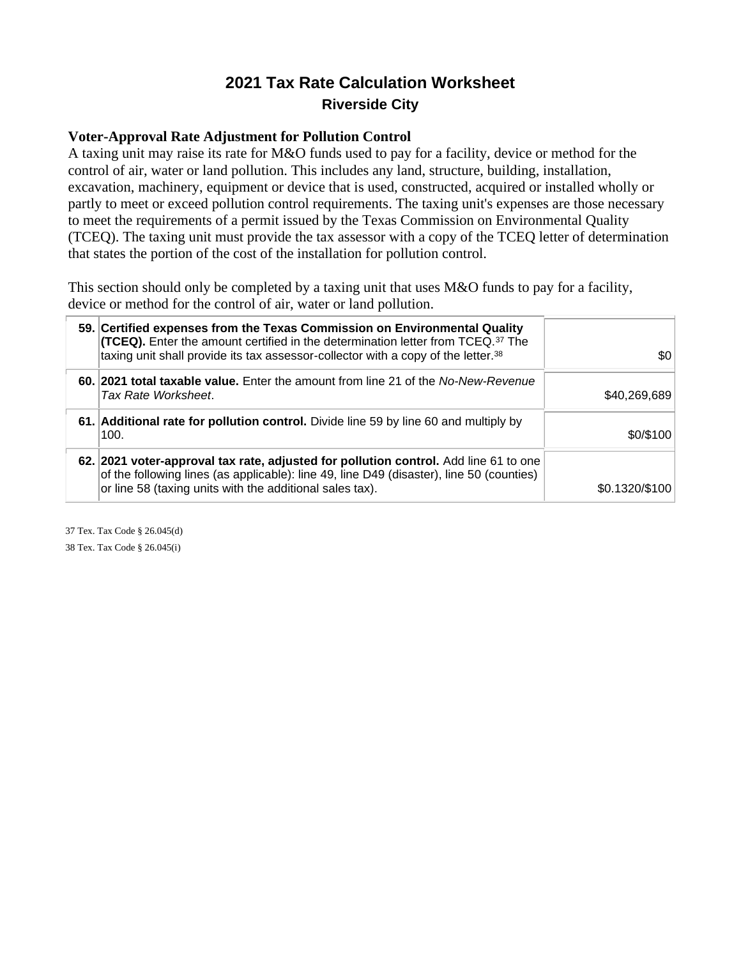#### **Voter-Approval Rate Adjustment for Pollution Control**

A taxing unit may raise its rate for M&O funds used to pay for a facility, device or method for the control of air, water or land pollution. This includes any land, structure, building, installation, excavation, machinery, equipment or device that is used, constructed, acquired or installed wholly or partly to meet or exceed pollution control requirements. The taxing unit's expenses are those necessary to meet the requirements of a permit issued by the Texas Commission on Environmental Quality (TCEQ). The taxing unit must provide the tax assessor with a copy of the TCEQ letter of determination that states the portion of the cost of the installation for pollution control.

This section should only be completed by a taxing unit that uses M&O funds to pay for a facility, device or method for the control of air, water or land pollution.

| 59. Certified expenses from the Texas Commission on Environmental Quality<br><b>(TCEQ).</b> Enter the amount certified in the determination letter from TCEQ. <sup>37</sup> The<br>taxing unit shall provide its tax assessor-collector with a copy of the letter. <sup>38</sup> | \$0            |
|----------------------------------------------------------------------------------------------------------------------------------------------------------------------------------------------------------------------------------------------------------------------------------|----------------|
| 60. 2021 total taxable value. Enter the amount from line 21 of the No-New-Revenue<br>Tax Rate Worksheet.                                                                                                                                                                         | \$40,269,689   |
| 61. Additional rate for pollution control. Divide line 59 by line 60 and multiply by<br>100.                                                                                                                                                                                     | \$0/\$100      |
| 62. 2021 voter-approval tax rate, adjusted for pollution control. Add line 61 to one<br>of the following lines (as applicable): line 49, line D49 (disaster), line 50 (counties)<br>or line 58 (taxing units with the additional sales tax).                                     | \$0.1320/\$100 |

37 Tex. Tax Code § 26.045(d) 38 Tex. Tax Code § 26.045(i)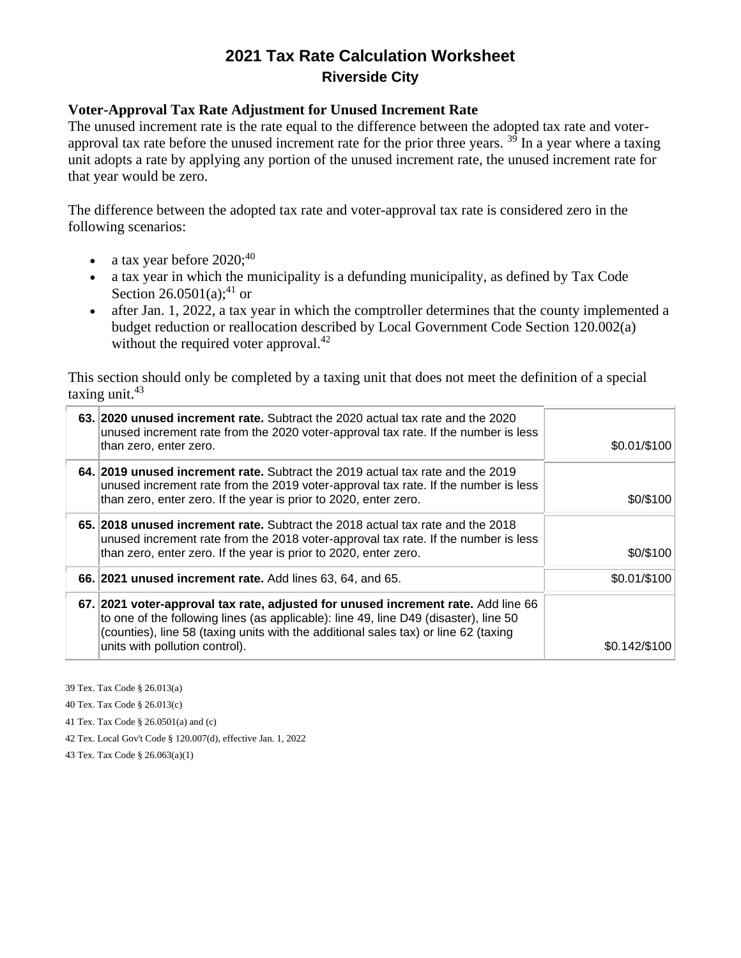#### **Voter-Approval Tax Rate Adjustment for Unused Increment Rate**

The unused increment rate is the rate equal to the difference between the adopted tax rate and voterapproval tax rate before the unused increment rate for the prior three years.  $39$  In a year where a taxing unit adopts a rate by applying any portion of the unused increment rate, the unused increment rate for that year would be zero.

The difference between the adopted tax rate and voter-approval tax rate is considered zero in the following scenarios:

- a tax year before  $2020$ ;<sup>40</sup>
- a tax year in which the municipality is a defunding municipality, as defined by Tax Code Section 26.0501(a);<sup>41</sup> or
- after Jan. 1, 2022, a tax year in which the comptroller determines that the county implemented a budget reduction or reallocation described by Local Government Code Section 120.002(a) without the required voter approval.<sup>42</sup>

This section should only be completed by a taxing unit that does not meet the definition of a special taxing unit. $43$ 

| 63. 2020 unused increment rate. Subtract the 2020 actual tax rate and the 2020<br>unused increment rate from the 2020 voter-approval tax rate. If the number is less<br>than zero, enter zero.                                                                                                     | \$0.01/\$100  |
|----------------------------------------------------------------------------------------------------------------------------------------------------------------------------------------------------------------------------------------------------------------------------------------------------|---------------|
| 64. 2019 unused increment rate. Subtract the 2019 actual tax rate and the 2019<br>unused increment rate from the 2019 voter-approval tax rate. If the number is less<br>than zero, enter zero. If the year is prior to 2020, enter zero.                                                           | \$0/\$100     |
| 65. 2018 unused increment rate. Subtract the 2018 actual tax rate and the 2018<br>unused increment rate from the 2018 voter-approval tax rate. If the number is less<br>than zero, enter zero. If the year is prior to 2020, enter zero.                                                           | \$0/\$100     |
| 66. 2021 unused increment rate. Add lines 63, 64, and 65.                                                                                                                                                                                                                                          | \$0.01/\$100  |
| 67. 2021 voter-approval tax rate, adjusted for unused increment rate. Add line 66<br>to one of the following lines (as applicable): line 49, line D49 (disaster), line 50<br>(counties), line 58 (taxing units with the additional sales tax) or line 62 (taxing<br>units with pollution control). | \$0.142/\$100 |

39 Tex. Tax Code § 26.013(a)

40 Tex. Tax Code § 26.013(c)

41 Tex. Tax Code § 26.0501(a) and (c)

42 Tex. Local Gov't Code § 120.007(d), effective Jan. 1, 2022

43 Tex. Tax Code § 26.063(a)(1)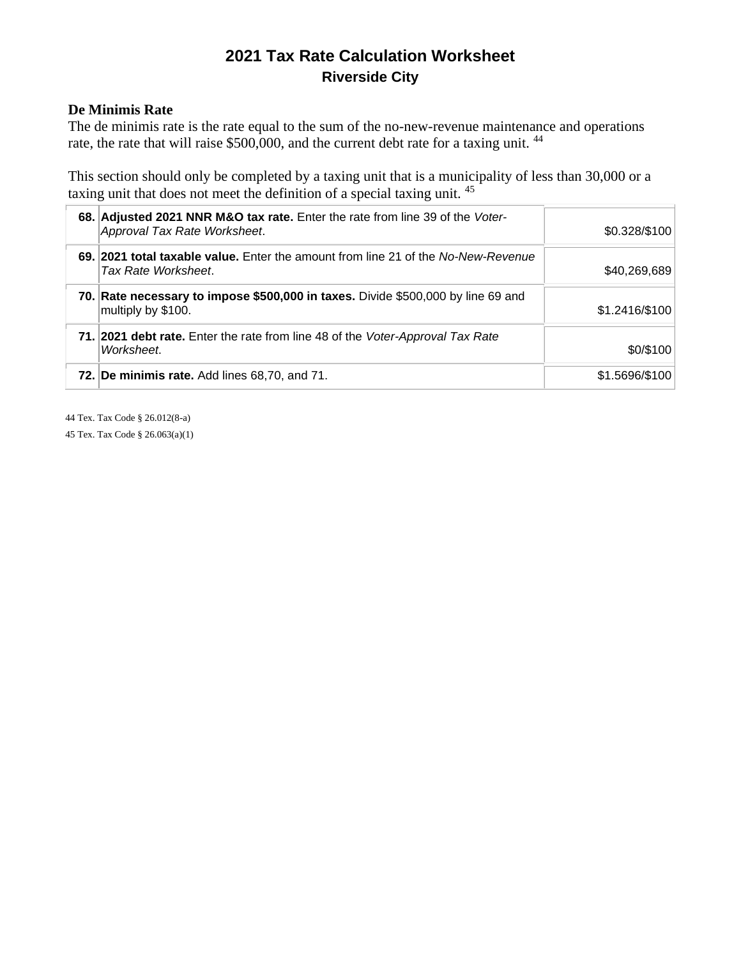#### **De Minimis Rate**

The de minimis rate is the rate equal to the sum of the no-new-revenue maintenance and operations rate, the rate that will raise \$500,000, and the current debt rate for a taxing unit.<sup>44</sup>

This section should only be completed by a taxing unit that is a municipality of less than 30,000 or a taxing unit that does not meet the definition of a special taxing unit. <sup>45</sup>

| 68. Adjusted 2021 NNR M&O tax rate. Enter the rate from line 39 of the Voter-<br>Approval Tax Rate Worksheet. | \$0.328/\$100  |
|---------------------------------------------------------------------------------------------------------------|----------------|
| 69. 2021 total taxable value. Enter the amount from line 21 of the No-New-Revenue<br>Tax Rate Worksheet.      | \$40,269,689   |
| 70. Rate necessary to impose \$500,000 in taxes. Divide \$500,000 by line 69 and<br>multiply by \$100.        | \$1.2416/\$100 |
| 71. 2021 debt rate. Enter the rate from line 48 of the Voter-Approval Tax Rate<br>Worksheet.                  | \$0/\$100      |
| <b>72. De minimis rate.</b> Add lines 68,70, and 71.                                                          | \$1.5696/\$100 |

44 Tex. Tax Code § 26.012(8-a)

45 Tex. Tax Code § 26.063(a)(1)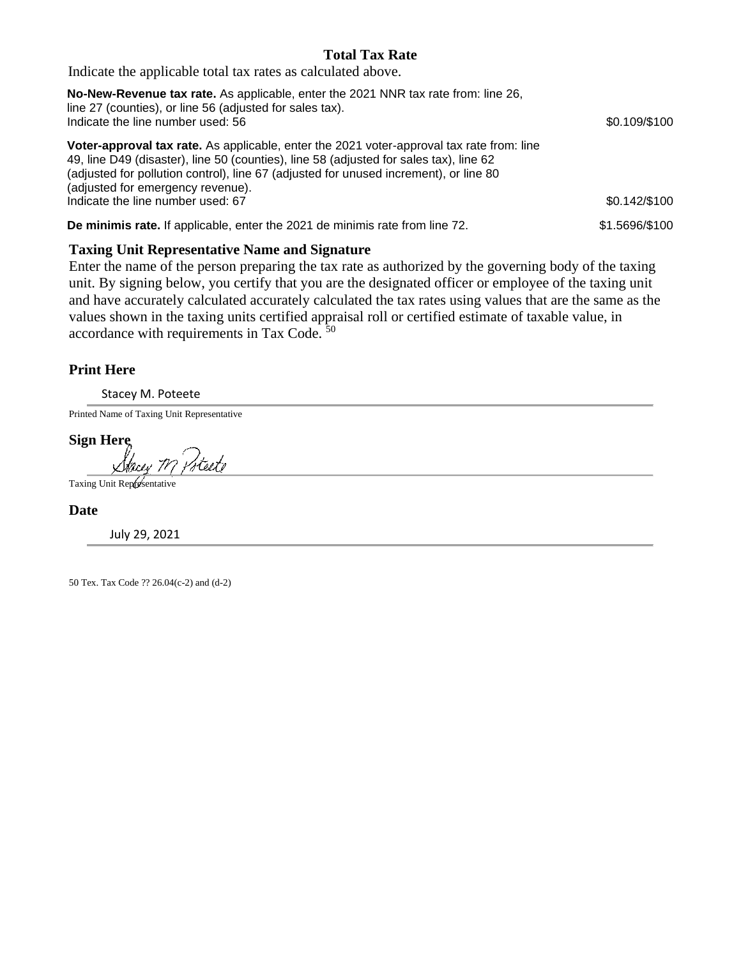#### **Total Tax Rate**

Indicate the applicable total tax rates as calculated above.

| <b>No-New-Revenue tax rate.</b> As applicable, enter the 2021 NNR tax rate from: line 26,<br>line 27 (counties), or line 56 (adjusted for sales tax).<br>Indicate the line number used: 56                                                                                                                        | \$0.109/\$100  |
|-------------------------------------------------------------------------------------------------------------------------------------------------------------------------------------------------------------------------------------------------------------------------------------------------------------------|----------------|
| Voter-approval tax rate. As applicable, enter the 2021 voter-approval tax rate from: line<br>49, line D49 (disaster), line 50 (counties), line 58 (adjusted for sales tax), line 62<br>(adjusted for pollution control), line 67 (adjusted for unused increment), or line 80<br>(adjusted for emergency revenue). |                |
| Indicate the line number used: 67                                                                                                                                                                                                                                                                                 | \$0.142/\$100  |
| De minimis rate. If applicable, enter the 2021 de minimis rate from line 72.                                                                                                                                                                                                                                      | \$1.5696/\$100 |

#### **Taxing Unit Representative Name and Signature**

Enter the name of the person preparing the tax rate as authorized by the governing body of the taxing unit. By signing below, you certify that you are the designated officer or employee of the taxing unit and have accurately calculated accurately calculated the tax rates using values that are the same as the values shown in the taxing units certified appraisal roll or certified estimate of taxable value, in accordance with requirements in Tax Code. <sup>50</sup>

#### **Print Here**

Stacey M. Poteete

Printed Name of Taxing Unit Representative

**Sign Here** dteete Stacey TV

Taxing Unit Representative

**Date**

July 29, 2021

50 Tex. Tax Code ?? 26.04(c-2) and (d-2)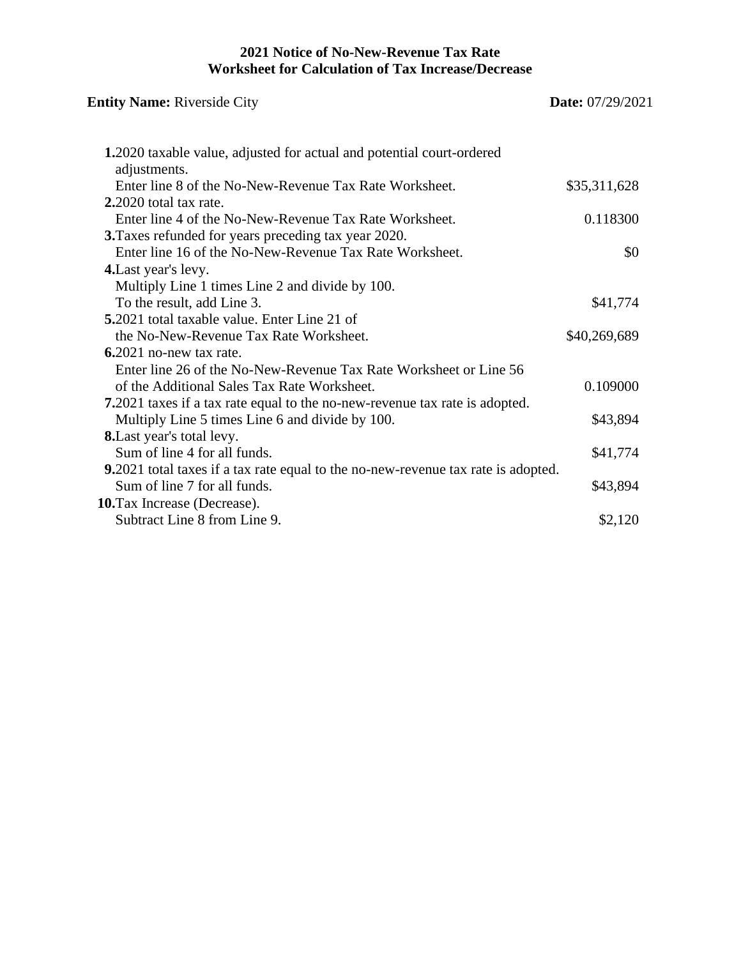### **2021 Notice of No-New-Revenue Tax Rate Worksheet for Calculation of Tax Increase/Decrease**

| <b>Entity Name: Riverside City</b>                                                    | <b>Date:</b> 07/29/2021 |
|---------------------------------------------------------------------------------------|-------------------------|
| 1.2020 taxable value, adjusted for actual and potential court-ordered<br>adjustments. |                         |
| Enter line 8 of the No-New-Revenue Tax Rate Worksheet.                                | \$35,311,628            |
| 2.2020 total tax rate.                                                                |                         |
| Enter line 4 of the No-New-Revenue Tax Rate Worksheet.                                | 0.118300                |
| <b>3.</b> Taxes refunded for years preceding tax year 2020.                           |                         |
| Enter line 16 of the No-New-Revenue Tax Rate Worksheet.                               | \$0                     |
| 4. Last year's levy.                                                                  |                         |
| Multiply Line 1 times Line 2 and divide by 100.                                       |                         |
| To the result, add Line 3.                                                            | \$41,774                |
| <b>5.</b> 2021 total taxable value. Enter Line 21 of                                  |                         |
| the No-New-Revenue Tax Rate Worksheet.                                                | \$40,269,689            |
| $6.2021$ no-new tax rate.                                                             |                         |
| Enter line 26 of the No-New-Revenue Tax Rate Worksheet or Line 56                     |                         |
| of the Additional Sales Tax Rate Worksheet.                                           | 0.109000                |
| <b>7.</b> 2021 taxes if a tax rate equal to the no-new-revenue tax rate is adopted.   |                         |
| Multiply Line 5 times Line 6 and divide by 100.                                       | \$43,894                |
| <b>8.</b> Last year's total levy.                                                     |                         |
| Sum of line 4 for all funds.                                                          | \$41,774                |
| 9.2021 total taxes if a tax rate equal to the no-new-revenue tax rate is adopted.     |                         |
| Sum of line 7 for all funds.                                                          | \$43,894                |
| 10. Tax Increase (Decrease).                                                          |                         |
| Subtract Line 8 from Line 9.                                                          | \$2,120                 |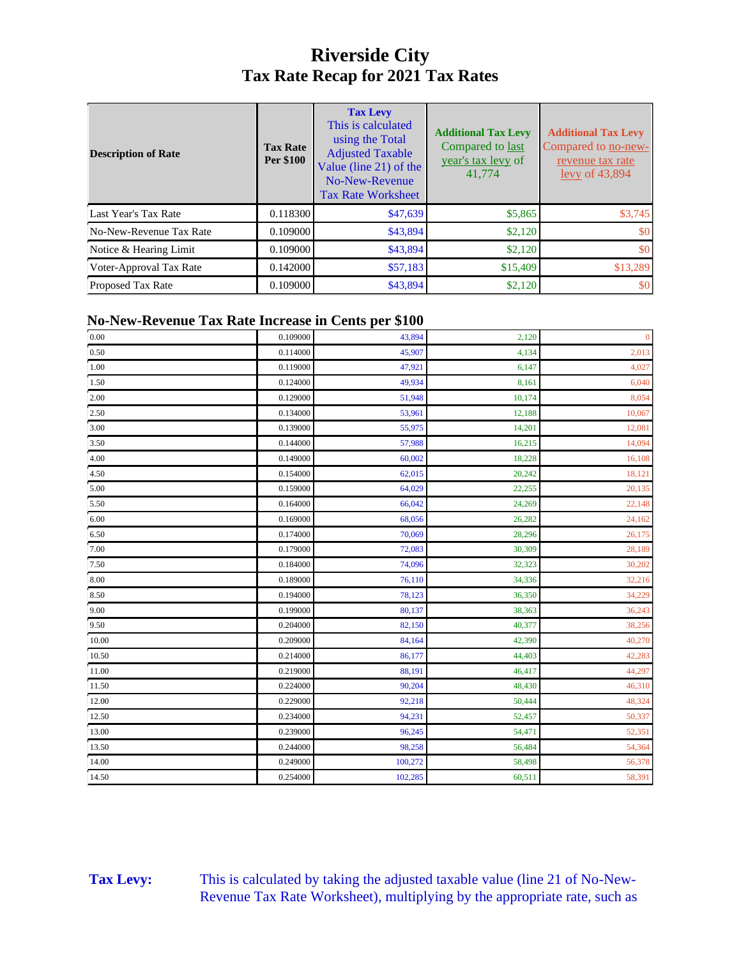### **Riverside City Tax Rate Recap for 2021 Tax Rates**

| <b>Description of Rate</b> | <b>Tax Rate</b><br>Per \$100 | <b>Tax Levy</b><br>This is calculated<br>using the Total<br><b>Adjusted Taxable</b><br>Value (line 21) of the<br>No-New-Revenue<br><b>Tax Rate Worksheet</b> | <b>Additional Tax Levy</b><br>Compared to last<br>year's tax levy of<br>41,774 | <b>Additional Tax Levy</b><br>Compared to no-new-<br>revenue tax rate<br>$levy$ of 43,894 |
|----------------------------|------------------------------|--------------------------------------------------------------------------------------------------------------------------------------------------------------|--------------------------------------------------------------------------------|-------------------------------------------------------------------------------------------|
| Last Year's Tax Rate       | 0.118300                     | \$47,639                                                                                                                                                     | \$5,865                                                                        | \$3,745                                                                                   |
| No-New-Revenue Tax Rate    | 0.109000                     | \$43,894                                                                                                                                                     | \$2,120                                                                        | \$0                                                                                       |
| Notice & Hearing Limit     | 0.109000                     | \$43,894                                                                                                                                                     | \$2,120                                                                        | \$0                                                                                       |
| Voter-Approval Tax Rate    | 0.142000                     | \$57,183                                                                                                                                                     | \$15,409                                                                       | \$13,289                                                                                  |
| <b>Proposed Tax Rate</b>   | 0.109000                     | \$43,894                                                                                                                                                     | \$2,120                                                                        | \$0                                                                                       |

#### **No-New-Revenue Tax Rate Increase in Cents per \$100**

| $0.00\,$ | 0.109000 | 43,894  | 2,120  | $\mathbf{0}$ |
|----------|----------|---------|--------|--------------|
| $0.50\,$ | 0.114000 | 45,907  | 4,134  | 2,013        |
| $1.00\,$ | 0.119000 | 47,921  | 6,147  | 4,027        |
| 1.50     | 0.124000 | 49,934  | 8,161  | 6,040        |
| 2.00     | 0.129000 | 51,948  | 10,174 | 8,054        |
| 2.50     | 0.134000 | 53,961  | 12,188 | 10,067       |
| $3.00\,$ | 0.139000 | 55,975  | 14,201 | 12,081       |
| 3.50     | 0.144000 | 57,988  | 16,215 | 14,094       |
| 4.00     | 0.149000 | 60,002  | 18,228 | 16,108       |
| 4.50     | 0.154000 | 62,015  | 20,242 | 18,121       |
| 5.00     | 0.159000 | 64,029  | 22,255 | 20,135       |
| 5.50     | 0.164000 | 66,042  | 24,269 | 22,148       |
| 6.00     | 0.169000 | 68,056  | 26,282 | 24,162       |
| 6.50     | 0.174000 | 70,069  | 28,296 | 26,175       |
| 7.00     | 0.179000 | 72,083  | 30,309 | 28,189       |
| 7.50     | 0.184000 | 74,096  | 32,323 | 30,202       |
| 8.00     | 0.189000 | 76,110  | 34,336 | 32,216       |
| 8.50     | 0.194000 | 78,123  | 36,350 | 34,229       |
| 9.00     | 0.199000 | 80,137  | 38,363 | 36,243       |
| 9.50     | 0.204000 | 82,150  | 40,377 | 38,256       |
| 10.00    | 0.209000 | 84,164  | 42,390 | 40,270       |
| 10.50    | 0.214000 | 86,177  | 44,403 | 42,283       |
| 11.00    | 0.219000 | 88,191  | 46,417 | 44,297       |
| 11.50    | 0.224000 | 90,204  | 48,430 | 46,310       |
| 12.00    | 0.229000 | 92,218  | 50,444 | 48,324       |
| 12.50    | 0.234000 | 94,231  | 52,457 | 50,337       |
| 13.00    | 0.239000 | 96,245  | 54,471 | 52,351       |
| 13.50    | 0.244000 | 98,258  | 56,484 | 54,364       |
| 14.00    | 0.249000 | 100,272 | 58,498 | 56,378       |
| 14.50    | 0.254000 | 102,285 | 60,511 | 58,391       |

Tax Levy: This is calculated by taking the adjusted taxable value (line 21 of No-New-Revenue Tax Rate Worksheet), multiplying by the appropriate rate, such as